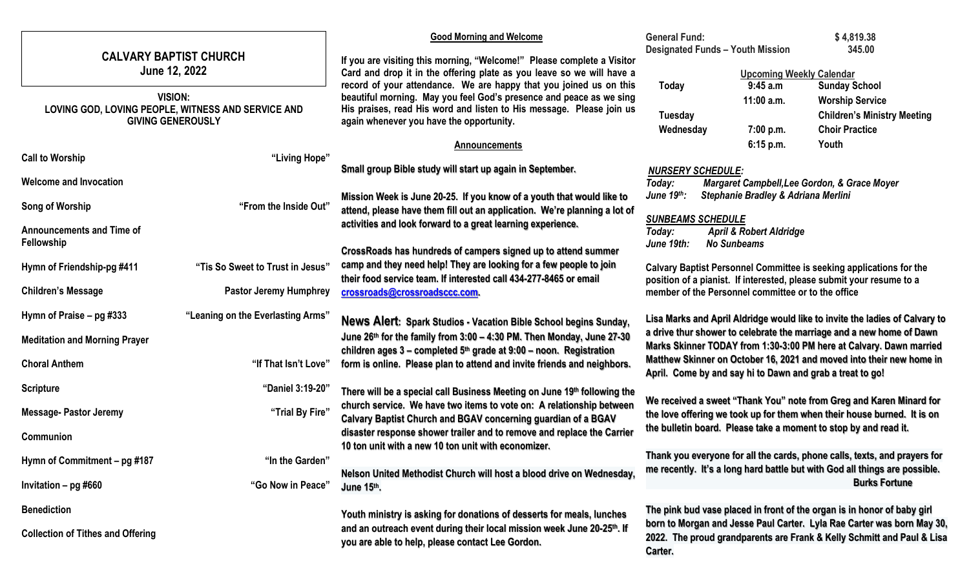| <b>CALVARY BAPTIST CHURCH</b><br>June 12, 2022<br><b>VISION:</b><br>LOVING GOD, LOVING PEOPLE, WITNESS AND SERVICE AND<br><b>GIVING GENEROUSLY</b> |                                   | <b>Good Morning and Welcome</b>                                                                                                                                                                                                                               | <b>General Fund:</b><br><b>Designated Funds - Youth Mission</b>                                                                             |                                                                                                                                                                                                                    | \$4,819.38<br>345.00                                                                                          |  |
|----------------------------------------------------------------------------------------------------------------------------------------------------|-----------------------------------|---------------------------------------------------------------------------------------------------------------------------------------------------------------------------------------------------------------------------------------------------------------|---------------------------------------------------------------------------------------------------------------------------------------------|--------------------------------------------------------------------------------------------------------------------------------------------------------------------------------------------------------------------|---------------------------------------------------------------------------------------------------------------|--|
|                                                                                                                                                    |                                   | If you are visiting this morning, "Welcome!" Please complete a Visitor<br>Card and drop it in the offering plate as you leave so we will have a                                                                                                               |                                                                                                                                             | <b>Upcoming Weekly Calendar</b>                                                                                                                                                                                    |                                                                                                               |  |
|                                                                                                                                                    |                                   | record of your attendance. We are happy that you joined us on this<br>beautiful morning. May you feel God's presence and peace as we sing<br>His praises, read His word and listen to His message. Please join us<br>again whenever you have the opportunity. | Today<br>Tuesday<br>Wednesday                                                                                                               | 9:45 a.m<br>11:00 a.m.<br>7:00 p.m.                                                                                                                                                                                | <b>Sunday School</b><br><b>Worship Service</b><br><b>Children's Ministry Meeting</b><br><b>Choir Practice</b> |  |
|                                                                                                                                                    |                                   | <b>Announcements</b>                                                                                                                                                                                                                                          |                                                                                                                                             | 6:15 p.m.                                                                                                                                                                                                          | Youth                                                                                                         |  |
| <b>Call to Worship</b>                                                                                                                             | "Living Hope"                     | Small group Bible study will start up again in September.                                                                                                                                                                                                     |                                                                                                                                             |                                                                                                                                                                                                                    |                                                                                                               |  |
| <b>Welcome and Invocation</b>                                                                                                                      |                                   |                                                                                                                                                                                                                                                               | <b>NURSERY SCHEDULE:</b><br>Today:                                                                                                          |                                                                                                                                                                                                                    | Margaret Campbell, Lee Gordon, & Grace Moyer                                                                  |  |
|                                                                                                                                                    |                                   | Mission Week is June 20-25. If you know of a youth that would like to                                                                                                                                                                                         | June 19th:                                                                                                                                  | Stephanie Bradley & Adriana Merlini                                                                                                                                                                                |                                                                                                               |  |
| Song of Worship                                                                                                                                    | "From the Inside Out"             | attend, please have them fill out an application. We're planning a lot of                                                                                                                                                                                     | <b>SUNBEAMS SCHEDULE</b>                                                                                                                    |                                                                                                                                                                                                                    |                                                                                                               |  |
| <b>Announcements and Time of</b>                                                                                                                   |                                   | activities and look forward to a great learning experience.                                                                                                                                                                                                   | Today:                                                                                                                                      | <b>April &amp; Robert Aldridge</b>                                                                                                                                                                                 |                                                                                                               |  |
| Fellowship                                                                                                                                         |                                   | CrossRoads has hundreds of campers signed up to attend summer                                                                                                                                                                                                 | June 19th:                                                                                                                                  | <b>No Sunbeams</b>                                                                                                                                                                                                 |                                                                                                               |  |
| Hymn of Friendship-pg #411                                                                                                                         | "Tis So Sweet to Trust in Jesus"  | camp and they need help! They are looking for a few people to join                                                                                                                                                                                            |                                                                                                                                             |                                                                                                                                                                                                                    | Calvary Baptist Personnel Committee is seeking applications for the                                           |  |
| <b>Children's Message</b>                                                                                                                          | <b>Pastor Jeremy Humphrey</b>     | their food service team. If interested call 434-277-8465 or email<br>crossroads@crossroadsccc.com.                                                                                                                                                            |                                                                                                                                             | position of a pianist. If interested, please submit your resume to a<br>member of the Personnel committee or to the office                                                                                         |                                                                                                               |  |
| Hymn of Praise – pg #333                                                                                                                           | "Leaning on the Everlasting Arms" | News Alert: Spark Studios - Vacation Bible School begins Sunday,                                                                                                                                                                                              |                                                                                                                                             |                                                                                                                                                                                                                    | Lisa Marks and April Aldridge would like to invite the ladies of Calvary to                                   |  |
| <b>Meditation and Morning Prayer</b>                                                                                                               |                                   | June 26th for the family from 3:00 - 4:30 PM. Then Monday, June 27-30<br>children ages $3$ – completed $5th$ grade at $9:00$ – noon. Registration                                                                                                             | a drive thur shower to celebrate the marriage and a new home of Dawn<br>Marks Skinner TODAY from 1:30-3:00 PM here at Calvary. Dawn married |                                                                                                                                                                                                                    |                                                                                                               |  |
| <b>Choral Anthem</b>                                                                                                                               | "If That Isn't Love"              | form is online. Please plan to attend and invite friends and neighbors.                                                                                                                                                                                       | Matthew Skinner on October 16, 2021 and moved into their new home in<br>April. Come by and say hi to Dawn and grab a treat to go!           |                                                                                                                                                                                                                    |                                                                                                               |  |
| <b>Scripture</b>                                                                                                                                   | "Daniel 3:19-20"                  | There will be a special call Business Meeting on June 19th following the<br>church service. We have two items to vote on: A relationship between<br>Calvary Baptist Church and BGAV concerning guardian of a BGAV                                             |                                                                                                                                             |                                                                                                                                                                                                                    |                                                                                                               |  |
| <b>Message- Pastor Jeremy</b>                                                                                                                      | "Trial By Fire"                   |                                                                                                                                                                                                                                                               |                                                                                                                                             | We received a sweet "Thank You" note from Greg and Karen Minard for<br>the love offering we took up for them when their house burned. It is on<br>the bulletin board. Please take a moment to stop by and read it. |                                                                                                               |  |
| <b>Communion</b>                                                                                                                                   |                                   | disaster response shower trailer and to remove and replace the Carrier<br>10 ton unit with a new 10 ton unit with economizer.                                                                                                                                 |                                                                                                                                             |                                                                                                                                                                                                                    |                                                                                                               |  |
| Hymn of Commitment - pg #187                                                                                                                       | "In the Garden"                   |                                                                                                                                                                                                                                                               |                                                                                                                                             |                                                                                                                                                                                                                    | Thank you everyone for all the cards, phone calls, texts, and prayers for                                     |  |
| Invitation - pg #660                                                                                                                               | "Go Now in Peace"                 | me recently. It's a long hard battle but with God all things are possible.<br>Nelson United Methodist Church will host a blood drive on Wednesday,<br>June 15th.                                                                                              |                                                                                                                                             | <b>Burks Fortune</b>                                                                                                                                                                                               |                                                                                                               |  |
| <b>Benediction</b>                                                                                                                                 |                                   | Youth ministry is asking for donations of desserts for meals, lunches                                                                                                                                                                                         | The pink bud vase placed in front of the organ is in honor of baby girl                                                                     |                                                                                                                                                                                                                    |                                                                                                               |  |
| <b>Collection of Tithes and Offering</b>                                                                                                           |                                   | and an outreach event during their local mission week June 20-25 <sup>th</sup> . If<br>you are able to help, please contact Lee Gordon.                                                                                                                       |                                                                                                                                             | born to Morgan and Jesse Paul Carter. Lyla Rae Carter was born May 30,<br>2022. The proud grandparents are Frank & Kelly Schmitt and Paul & Lisa<br>Carter.                                                        |                                                                                                               |  |